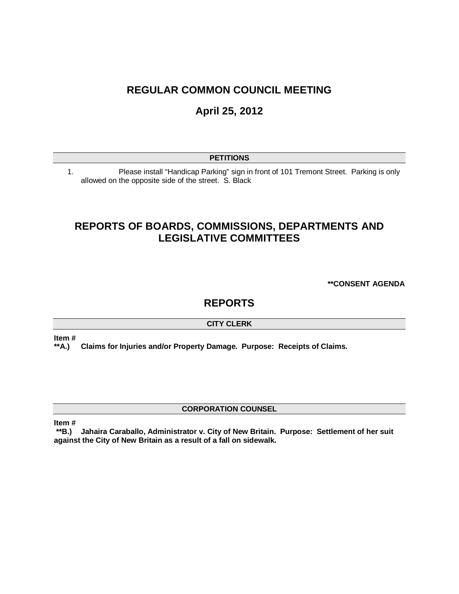## **REGULAR COMMON COUNCIL MEETING**

# **April 25, 2012**

### **PETITIONS**

1. Please install "Handicap Parking" sign in front of 101 Tremont Street. Parking is only allowed on the opposite side of the street. S. Black

## **REPORTS OF BOARDS, COMMISSIONS, DEPARTMENTS AND LEGISLATIVE COMMITTEES**

**\*\*CONSENT AGENDA**

## **REPORTS**

#### **CITY CLERK**

**Item #**

**\*\*A.) Claims for Injuries and/or Property Damage. Purpose: Receipts of Claims.** 

### **CORPORATION COUNSEL**

**Item #**

**\*\*B.) Jahaira Caraballo, Administrator v. City of New Britain. Purpose: Settlement of her suit against the City of New Britain as a result of a fall on sidewalk.**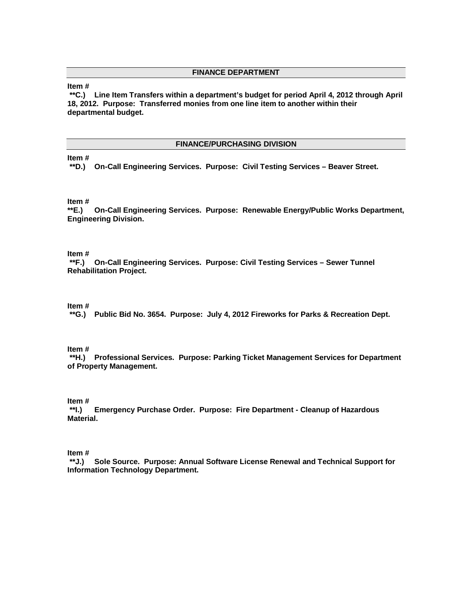#### **FINANCE DEPARTMENT**

#### **Item #**

**\*\*C.) Line Item Transfers within a department's budget for period April 4, 2012 through April 18, 2012. Purpose: Transferred monies from one line item to another within their departmental budget.**

#### **FINANCE/PURCHASING DIVISION**

#### **Item #**

**\*\*D.) On-Call Engineering Services. Purpose: Civil Testing Services – Beaver Street.**

# **Item #**

**\*\*E.) On-Call Engineering Services. Purpose: Renewable Energy/Public Works Department, Engineering Division.**

#### **Item #**

**\*\*F.) On-Call Engineering Services. Purpose: Civil Testing Services – Sewer Tunnel Rehabilitation Project.** 

#### **Item #**

**\*\*G.) Public Bid No. 3654. Purpose: July 4, 2012 Fireworks for Parks & Recreation Dept.** 

**Item #**

**\*\*H.) Professional Services. Purpose: Parking Ticket Management Services for Department of Property Management.**

# **Item #**

**\*\*I.) Emergency Purchase Order. Purpose: Fire Department - Cleanup of Hazardous Material.**

#### **Item #**

**\*\*J.) Sole Source. Purpose: Annual Software License Renewal and Technical Support for Information Technology Department.**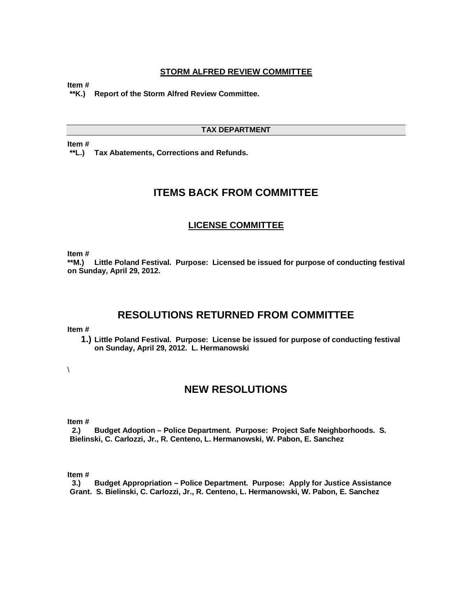#### **STORM ALFRED REVIEW COMMITTEE**

**Item #**

**\*\*K.) Report of the Storm Alfred Review Committee.** 

#### **TAX DEPARTMENT**

**Item #**

**\*\*L.) Tax Abatements, Corrections and Refunds.** 

## **ITEMS BACK FROM COMMITTEE**

#### **LICENSE COMMITTEE**

**Item #**

**\*\*M.) Little Poland Festival. Purpose: Licensed be issued for purpose of conducting festival on Sunday, April 29, 2012.** 

## **RESOLUTIONS RETURNED FROM COMMITTEE**

#### **Item #**

**1.) Little Poland Festival. Purpose: License be issued for purpose of conducting festival on Sunday, April 29, 2012. L. Hermanowski**

 $\overline{\phantom{a}}$ 

## **NEW RESOLUTIONS**

**Item #**

**2.) Budget Adoption – Police Department. Purpose: Project Safe Neighborhoods. S. Bielinski, C. Carlozzi, Jr., R. Centeno, L. Hermanowski, W. Pabon, E. Sanchez**

**Item #**

**3.) Budget Appropriation – Police Department. Purpose: Apply for Justice Assistance Grant. S. Bielinski, C. Carlozzi, Jr., R. Centeno, L. Hermanowski, W. Pabon, E. Sanchez**